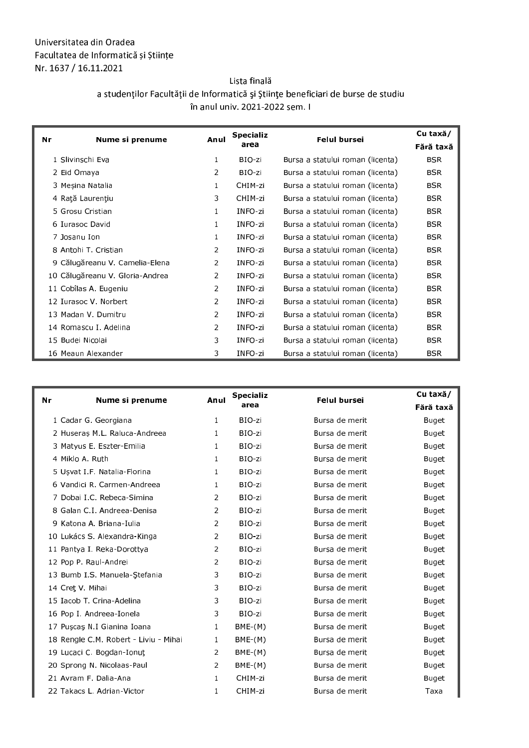## - - -- Nr. 1637 / 16.11.2021

  -  -- - !- #-- \$--- \$   în anul univ. 2021-2022 sem. I

| Nr | Nume si prenume                 | Anul           | <b>Specializ</b> | <b>Felul bursei</b>              | Cu taxă/   |
|----|---------------------------------|----------------|------------------|----------------------------------|------------|
|    |                                 |                | area             |                                  | Fără taxă  |
|    | 1 Slivinschi Eva                | $\mathbf{1}$   | BIO-zi           | Bursa a statului roman (licenta) | <b>BSR</b> |
|    | 2 Eid Omaya                     | 2              | BIO-zi           | Bursa a statului roman (licenta) | <b>BSR</b> |
|    | 3 Mesina Natalia                | 1              | CHIM-zi          | Bursa a statului roman (licenta) | <b>BSR</b> |
|    | 4 Rață Laurențiu                | 3              | CHIM-zi          | Bursa a statului roman (licenta) | <b>BSR</b> |
|    | 5 Grosu Cristian                | 1              | INFO-zi          | Bursa a statului roman (licenta) | <b>BSR</b> |
|    | 6 Iurasoc David                 | 1              | INFO-zi          | Bursa a statului roman (licenta) | <b>BSR</b> |
|    | 7 Josanu Ion                    | 1              | INFO-zi          | Bursa a statului roman (licenta) | <b>BSR</b> |
|    | 8 Antohi T. Cristian            | 2              | INFO-zi          | Bursa a statului roman (licenta) | <b>BSR</b> |
|    | 9 Călugăreanu V. Camelia-Elena  | $\overline{2}$ | INFO-zi          | Bursa a statului roman (licenta) | <b>BSR</b> |
|    | 10 Călugăreanu V. Gloria-Andrea | $\overline{2}$ | INFO-zi          | Bursa a statului roman (licenta) | <b>BSR</b> |
|    | 11 Cobîlas A. Eugeniu           | $\overline{2}$ | INFO-zi          | Bursa a statului roman (licenta) | <b>BSR</b> |
|    | 12 Iurasoc V. Norbert           | $\overline{2}$ | INFO-zi          | Bursa a statului roman (licenta) | <b>BSR</b> |
|    | 13 Madan V. Dumitru             | $\overline{2}$ | INFO-zi          | Bursa a statului roman (licenta) | <b>BSR</b> |
|    | 14 Romascu I. Adelina           | $\overline{2}$ | INFO-zi          | Bursa a statului roman (licenta) | <b>BSR</b> |
|    | 15 Budei Nicolai                | 3              | INFO-zi          | Bursa a statului roman (licenta) | <b>BSR</b> |
|    | 16 Meaun Alexander              | 3              | INFO-zi          | Bursa a statului roman (licenta) | <b>BSR</b> |

| Nr<br>Nume si prenume                 | Anul           | <b>Specializ</b><br>area | <b>Felul bursei</b> | Cu taxă/     |
|---------------------------------------|----------------|--------------------------|---------------------|--------------|
|                                       |                |                          |                     | Fără taxă    |
| 1 Cadar G. Georgiana                  | $\mathbf{1}$   | BIO-zi                   | Bursa de merit      | Buget        |
| 2 Huseraș M.L. Raluca-Andreea         | $\mathbf{1}$   | BIO-zi                   | Bursa de merit      | Buget        |
| 3 Matyus E. Eszter-Emilia             | $\mathbf{1}$   | BIO-zi                   | Bursa de merit      | Buget        |
| 4 Miklo A. Ruth                       | $\mathbf{1}$   | BIO-zi                   | Bursa de merit      | Buget        |
| 5 Usvat I F. Natalia-Florina          | $\mathbf{1}$   | BIO-zi                   | Bursa de merit      | Buget        |
| 6 Vandici R. Carmen-Andreea           | 1.             | BIO-zi                   | Bursa de merit      | Buget        |
| 7 Dobai I.C. Rebeca-Simina            | 2              | BIO-zi                   | Bursa de merit      | Buget        |
| 8 Galan C.I. Andreea-Denisa           | 2              | BIO-zi                   | Bursa de merit      | Buget        |
| 9 Katona A. Briana-Iulia              | 2              | BIO-zi                   | Bursa de merit      | Buget        |
| 10 Lukács S. Alexandra-Kinga          | $\overline{2}$ | BIO-zi                   | Bursa de merit      | Buget        |
| 11 Pantya I. Reka-Dorottya            | 2              | BIO-zi                   | Bursa de merit      | Buget        |
| 12 Pop P. Raul-Andrei                 | $\overline{2}$ | BIO-zi                   | Bursa de merit      | Buget        |
| 13 Bumb I.S. Manuela-Stefania         | 3              | BIO-zi                   | Bursa de merit      | Buget        |
| 14 Cret V Mihai                       | 3              | BIO-zi                   | Bursa de merit      | Buget        |
| 15 Iacob T. Crina-Adelina             | 3              | BIO-zi                   | Bursa de merit      | Buget        |
| 16 Pop I. Andreea-Ionela              | 3              | BIO-zi                   | Bursa de merit      | Buget        |
| 17 Puscas N I Gianina Ioana           | $\mathbf{1}$   | $BME-(M)$                | Bursa de merit      | Buget        |
| 18 Rengle C.M. Robert - Liviu - Mihai | -1             | $BME-(M)$                | Bursa de merit      | Buget        |
| 19 Lucaci C. Bogdan-Ionut             | $\overline{2}$ | $BME-(M)$                | Bursa de merit      | Buget        |
| 20 Sprong N. Nicolaas-Paul            | $\overline{2}$ | $BME-(M)$                | Bursa de merit      | <b>Buget</b> |
| 21 Avram F. Dalia-Ana                 | $\mathbf{1}$   | CHIM-zi                  | Bursa de merit      | Buget        |
| 22 Takacs L. Adrian-Victor            | 1              | CHIM-zi                  | Bursa de merit      | Taxa         |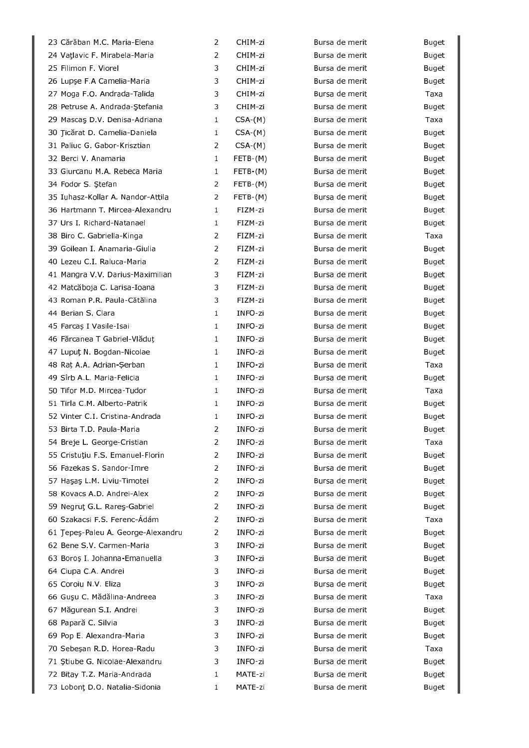| 23 Cărăban M.C. Maria-Elena        | $\overline{2}$ | CHIM-zi    | Bursa de merit | <b>Buget</b> |
|------------------------------------|----------------|------------|----------------|--------------|
| 24 Vațlavic F. Mirabela-Maria      | 2              | CHIM-zi    | Bursa de merit | <b>Buget</b> |
| 25 Filimon F. Viorel               | 3              | CHIM-zi    | Bursa de merit | Buget        |
| 26 Lupse F.A Camelia-Maria         | 3              | CHIM-zi    | Bursa de merit | <b>Buget</b> |
| 27 Moga F.O. Andrada-Talida        | 3              | CHIM-zi    | Bursa de merit | Taxa         |
| 28 Petruse A. Andrada-Stefania     | 3              | CHIM-zi    | Bursa de merit | <b>Buget</b> |
| 29 Mascas D.V. Denisa-Adriana      | $\mathbf{1}$   | $CSA-(M)$  | Bursa de merit | Taxa         |
| 30 Jicărat D. Camelia-Daniela      | $\mathbf{1}$   | $CSA-(M)$  | Bursa de merit | <b>Buget</b> |
| 31 Paliuc G. Gabor-Krisztian       | 2              | $CSA-(M)$  | Bursa de merit | <b>Buget</b> |
| 32 Berci V. Anamaria               | $\mathbf{1}$   | $FETB-(M)$ | Bursa de merit | Buget        |
| 33 Giurcanu M.A. Rebeca Maria      | 1              | $FETB-(M)$ | Bursa de merit | Buget        |
| 34 Fodor S. Ştefan                 | $\overline{2}$ | $FETB-(M)$ | Bursa de merit | Buget        |
| 35 Iuhasz-Kollar A. Nandor-Attila  | $\overline{2}$ | $FETB-(M)$ | Bursa de merit | Buget        |
| 36 Hartmann T. Mircea-Alexandru    | $\mathbf{1}$   | FIZM-zi    | Bursa de merit | Buget        |
| 37 Urs I. Richard-Natanael         | 1              | FIZM-zi    | Bursa de merit | Buget        |
| 38 Biro C. Gabriella-Kinga         | 2              | FIZM-zi    | Bursa de merit | Taxa         |
| 39 Goilean I. Anamaria-Giulia      | $\overline{2}$ | FIZM-zi    | Bursa de merit | <b>Buget</b> |
| 40 Lezeu C.I. Raluca-Maria         | $\overline{2}$ | FIZM-zi    | Bursa de merit | Buget        |
| 41 Mangra V.V. Darius-Maximilian   | 3              | FIZM-zi    | Bursa de merit | Buget        |
| 42 Matcăboja C. Larisa-Ioana       | 3              | FIZM-zi    | Bursa de merit | Buget        |
| 43 Roman P.R. Paula-Cătălina       | 3              | FIZM-zi    | Bursa de merit | Buget        |
| 44 Berian S. Clara                 | $\mathbf{1}$   | INFO-zi    | Bursa de merit | Buget        |
| 45 Farcaș I Vasile-Isai            | 1              | INFO-zi    | Bursa de merit | <b>Buget</b> |
| 46 Fărcanea T Gabriel-Vlăduț       | 1              | INFO-zi    | Bursa de merit | Buget        |
| 47 Lupuț N. Bogdan-Nicolae         | $\mathbf{1}$   | INFO-zi    | Bursa de merit | <b>Buget</b> |
| 48 Rat A.A. Adrian-Şerban          | $\mathbf{1}$   | INFO-zi    | Bursa de merit | Taxa         |
| 49 Sîrb A.L. Maria-Felicia         | $\mathbf{1}$   | INFO-zi    | Bursa de merit | <b>Buget</b> |
| 50 Tifor M.D. Mircea-Tudor         | 1              | INFO-zi    | Bursa de merit | Taxa         |
| 51 Tirla C.M. Alberto-Patrik       | 1              | INFO-zi    | Bursa de merit | Buget        |
| 52 Vinter C.I. Cristina-Andrada    | $\mathbf{1}$   | INFO-zi    | Bursa de merit | Buget        |
| 53 Birta T.D. Paula-Maria          | $\overline{2}$ | INFO-zi    | Bursa de merit | <b>Buget</b> |
| 54 Breje L. George-Cristian        | $\overline{2}$ | INFO-zi    | Bursa de merit | Taxa         |
| 55 Cristuțiu F.S. Emanuel Florin   | 2              | INFO-zi    | Bursa de merit | <b>Buget</b> |
| 56 Fazekas S. Sandor-Imre          | 2              | INFO-zi    | Bursa de merit | Buget        |
| 57 Haşaş L.M. Liviu-Timotei        | 2              | INFO-zi    | Bursa de merit | <b>Buget</b> |
| 58 Kovacs A.D. Andrei-Alex         | $\overline{2}$ | INFO-zi    | Bursa de merit | <b>Buget</b> |
| 59 Negrut G.L. Rares-Gabriel       | $\overline{2}$ | INFO-zi    | Bursa de merit | <b>Buget</b> |
| 60 Szakacsi F.S. Ferenc-Ádám       | $\overline{2}$ | INFO-zi    | Bursa de merit | Taxa         |
| 61 Jepeş-Paleu A. George-Alexandru | $\overline{2}$ | INFO-zi    | Bursa de merit | <b>Buget</b> |
| 62 Bene S V Carmen-Maria           | 3              | INFO-zi    | Bursa de merit | <b>Buget</b> |
| 63 Boroș I. Johanna-Emanuella      | 3              | INFO-zi    | Bursa de merit | Buget        |
| 64 Ciupa C.A. Andrei               | 3              | INFO-zi    | Bursa de merit | <b>Buget</b> |
| 65 Coroiu N.V. Eliza               | 3              | INFO-zi    | Bursa de merit | <b>Buget</b> |
| 66 Guşu C. Mădălina-Andreea        | 3              | INFO-zi    | Bursa de merit | Taxa         |
| 67 Măgurean S.I. Andrei            | 3              | INFO-zi    | Bursa de merit | <b>Buget</b> |
| 68 Papară C. Silvia                | 3              | INFO-zi    | Bursa de merit | Buget        |
| 69 Pop E. Alexandra-Maria          | 3              | INFO-zi    | Bursa de merit | <b>Buget</b> |
| 70 Sebeşan R.D. Horea-Radu         | 3              | INFO-zi    | Bursa de merit | Taxa         |
| 71 Ştiube G. Nicolae-Alexandru     | 3              | INFO-zi    | Bursa de merit | Buget        |
| 72 Bitay T.Z. Maria-Andrada        | 1              | MATE-zi    | Bursa de merit | Buget        |
| 73 Lobont D.O. Natalia-Sidonia     | 1              | MATE-zi    | Bursa de merit | Buget        |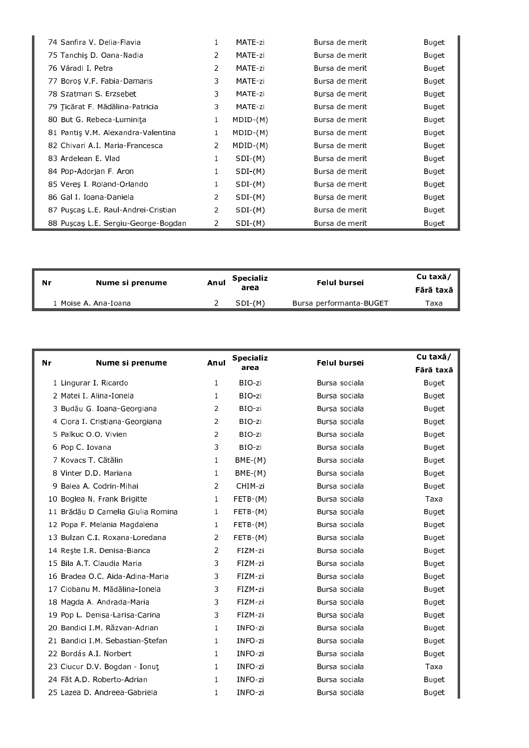| 74 Sanfira V. Delia-Flavia          | $\mathbf{1}$   | MATE-zi    | Bursa de merit | <b>Buget</b> |
|-------------------------------------|----------------|------------|----------------|--------------|
| 75 Tanchis D. Oana-Nadia            | $\overline{2}$ | MATE-zi    | Bursa de merit | Buget        |
| 76 Váradi I. Petra                  | $\overline{2}$ | MATE-zi    | Bursa de merit | Buget        |
| 77 Boroş V F Fabia-Damaris          | 3              | MATE-zi    | Bursa de merit | Buget        |
| 78 Szatmari S. Erzsebet             | 3              | MATE-zi    | Bursa de merit | Buget        |
| 79 Ticărat F. Mădălina-Patricia     | 3              | MATE-zi    | Bursa de merit | Buget        |
| 80 But G. Rebeca-Luminita           | 1              | $MDID-(M)$ | Bursa de merit | Buget        |
| 81 Pantis V.M. Alexandra Valentina  |                | MDID-(M)   | Bursa de merit | Buget        |
| 82 Chivari A.I. Maria-Francesca     | 2              | $MDID-(M)$ | Bursa de merit | Buget        |
| 83 Ardelean E. Vlad                 |                | $SDI-(M)$  | Bursa de merit | Buget        |
| 84 Pop-Adorjan F. Aron              | $\mathbf 1$    | $SDI-(M)$  | Bursa de merit | Buget        |
| 85 Veres I. Roland-Orlando          |                | $SDI-(M)$  | Bursa de merit | Buget        |
| 86 Gal I Ioana-Daniela              | $\overline{2}$ | $SDI-(M)$  | Bursa de merit | Buget        |
| 87 Puscas L.E. Raul-Andrei-Cristian | $\overline{2}$ | $SDI-(M)$  | Bursa de merit | Buget        |
| 88 Puscas L.E. Sergiu-George-Bogdan | $\overline{2}$ | $SDI-(M)$  | Bursa de merit | <b>Buget</b> |

| .Nr | Nume si prenume       | Anul | Specializ<br>area | Felul bursei            | Cu taxă/<br>Fără taxă |
|-----|-----------------------|------|-------------------|-------------------------|-----------------------|
|     | '. Moise A. Ana-Ioana |      | $SDI-(M)$         | Bursa performanta-BUGET | Taxa                  |

| Nr | Nume si prenume                   | Anul           | <b>Specializ</b><br>area | <b>Felul bursei</b> | Cu taxă/     |
|----|-----------------------------------|----------------|--------------------------|---------------------|--------------|
|    |                                   |                |                          |                     | Fără taxă    |
|    | 1 Lingurar I. Ricardo             | 1              | BIO-zi                   | Bursa sociala       | <b>Buget</b> |
|    | 2 Matei I. Alina-Ionela           | $\mathbf{1}$   | BIO-zi                   | Bursa sociala       | Buget        |
|    | 3 Budău G. Ioana-Georgiana        | $\overline{2}$ | BIO-zi                   | Bursa sociala       | Buget        |
|    | 4 Ciora I. Cristiana-Georgiana    | 2              | BIO-zi                   | Bursa sociala       | Buget        |
|    | 5 Palkuc O.O. Vivien              | 2              | BIO-zi                   | Bursa sociala       | Buget        |
|    | 6 Pop C. Iovana                   | 3              | BIO-zi                   | Bursa sociala       | Buget        |
|    | 7 Kovacs T. Cătălin               | $\mathbf{1}$   | $BME-(M)$                | Bursa sociala       | Buget        |
|    | 8 Vinter D.D. Mariana             | $\mathbf{1}$   | $BME-(M)$                | Bursa sociala       | Buget        |
|    | 9 Balea A. Codrin-Mihai           | 2              | CHIM-zi                  | Bursa sociala       | Buget        |
|    | 10 Boglea N. Frank Brigitte       | $\mathbf{1}$   | $FETB-(M)$               | Bursa sociala       | Taxa         |
|    | 11 Brădău D Camelia Giulia Romina | $\mathbf{1}$   | $FETB-(M)$               | Bursa sociala       | Buget        |
|    | 12 Popa F. Melania Magdalena      | $\mathbf{1}$   | FETB-(M)                 | Bursa sociala       | Buget        |
|    | 13 Bulzan C.I. Roxana-Loredana    | 2              | $FETB-(M)$               | Bursa sociala       | Buget        |
|    | 14 Reste I.R. Denisa-Bianca       | 2              | FIZM-zi                  | Bursa sociala       | Buget        |
|    | 15 Bila A.T. Claudia Maria        | 3              | FIZM-zi                  | Bursa sociala       | Buget        |
|    | 16 Bradea O.C. Aida-Adina-Maria   | 3              | FIZM-zi                  | Bursa sociala       | Buget        |
|    | 17 Ciobanu M. Mădălina-Ionela     | 3              | FIZM-zi                  | Bursa sociala       | Buget        |
|    | 18 Magda A. Andrada-Maria         | 3              | FIZM-zi                  | Bursa sociala       | Buget        |
|    | 19 Pop L. Denisa-Larisa-Carina    | 3              | FIZM-zi                  | Bursa sociala       | Buget        |
|    | 20 Bandici I.M. Răzvan-Adrian     | $\mathbf{1}$   | INFO-zi                  | Bursa sociala       | Buget        |
|    | 21 Bandici I.M. Sebastian-Stefan  | $\mathbf{1}$   | INFO-zi                  | Bursa sociala       | Buget        |
|    | 22 Bordás A.I. Norbert            | $\mathbf{1}$   | INFO-zi                  | Bursa sociala       | Buget        |
|    | 23 Ciucur D.V. Bogdan - Ionut     | $\mathbf{1}$   | INFO-zi                  | Bursa sociala       | Taxa         |
|    | 24 Făt A.D. Roberto-Adrian        | $\mathbf{1}$   | INFO-zi                  | Bursa sociala       | Buget        |
|    | 25 Lazea D. Andreea-Gabriela      | $\mathbf{1}$   | INFO-zi                  | Bursa sociala       | Buget        |